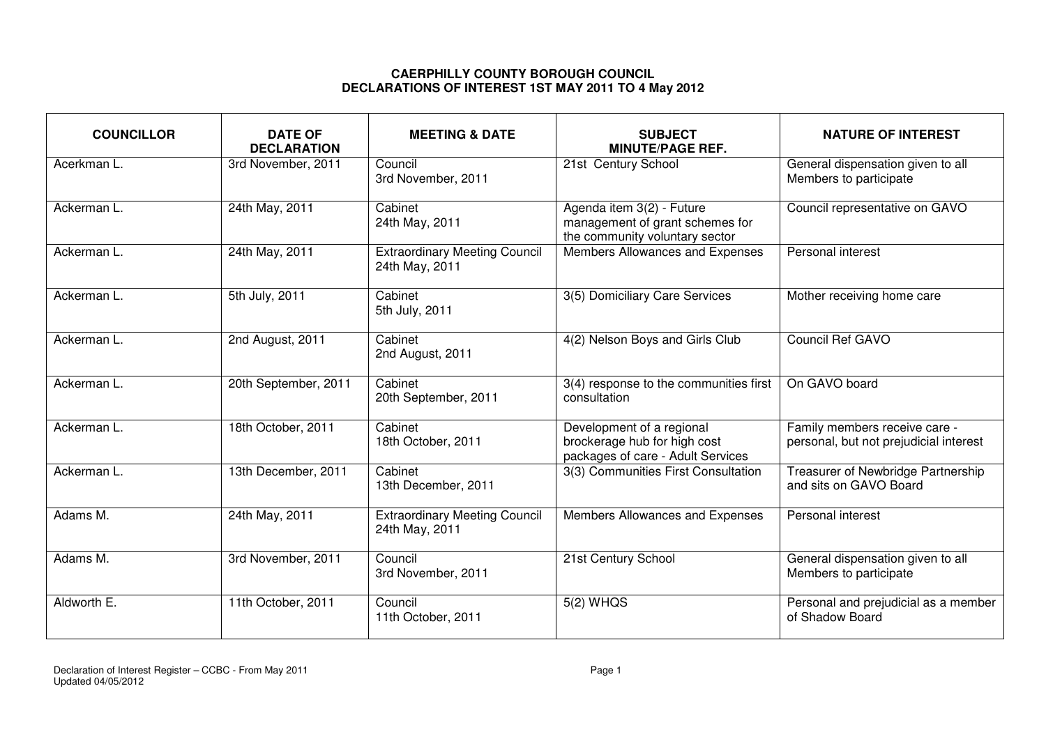## **CAERPHILLY COUNTY BOROUGH COUNCIL DECLARATIONS OF INTEREST 1ST MAY 2011 TO 4 May 2012**

| <b>COUNCILLOR</b> | <b>DATE OF</b><br><b>DECLARATION</b> | <b>MEETING &amp; DATE</b>                              | <b>SUBJECT</b><br><b>MINUTE/PAGE REF.</b>                                                      | <b>NATURE OF INTEREST</b>                                               |
|-------------------|--------------------------------------|--------------------------------------------------------|------------------------------------------------------------------------------------------------|-------------------------------------------------------------------------|
| Acerkman L.       | 3rd November, 2011                   | Council<br>3rd November, 2011                          | 21st Century School                                                                            | General dispensation given to all<br>Members to participate             |
| Ackerman L.       | 24th May, 2011                       | Cabinet<br>24th May, 2011                              | Agenda item 3(2) - Future<br>management of grant schemes for<br>the community voluntary sector | Council representative on GAVO                                          |
| Ackerman L.       | 24th May, 2011                       | <b>Extraordinary Meeting Council</b><br>24th May, 2011 | Members Allowances and Expenses                                                                | Personal interest                                                       |
| Ackerman L.       | 5th July, 2011                       | Cabinet<br>5th July, 2011                              | 3(5) Domiciliary Care Services                                                                 | Mother receiving home care                                              |
| Ackerman L.       | 2nd August, 2011                     | Cabinet<br>2nd August, 2011                            | 4(2) Nelson Boys and Girls Club                                                                | Council Ref GAVO                                                        |
| Ackerman L.       | 20th September, 2011                 | Cabinet<br>20th September, 2011                        | 3(4) response to the communities first<br>consultation                                         | On GAVO board                                                           |
| Ackerman L.       | 18th October, 2011                   | Cabinet<br>18th October, 2011                          | Development of a regional<br>brockerage hub for high cost<br>packages of care - Adult Services | Family members receive care -<br>personal, but not prejudicial interest |
| Ackerman L.       | 13th December, 2011                  | Cabinet<br>13th December, 2011                         | 3(3) Communities First Consultation                                                            | Treasurer of Newbridge Partnership<br>and sits on GAVO Board            |
| Adams M.          | 24th May, 2011                       | <b>Extraordinary Meeting Council</b><br>24th May, 2011 | Members Allowances and Expenses                                                                | Personal interest                                                       |
| Adams M.          | 3rd November, 2011                   | Council<br>3rd November, 2011                          | 21st Century School                                                                            | General dispensation given to all<br>Members to participate             |
| Aldworth E.       | 11th October, 2011                   | Council<br>11th October, 2011                          | 5(2) WHQS                                                                                      | Personal and prejudicial as a member<br>of Shadow Board                 |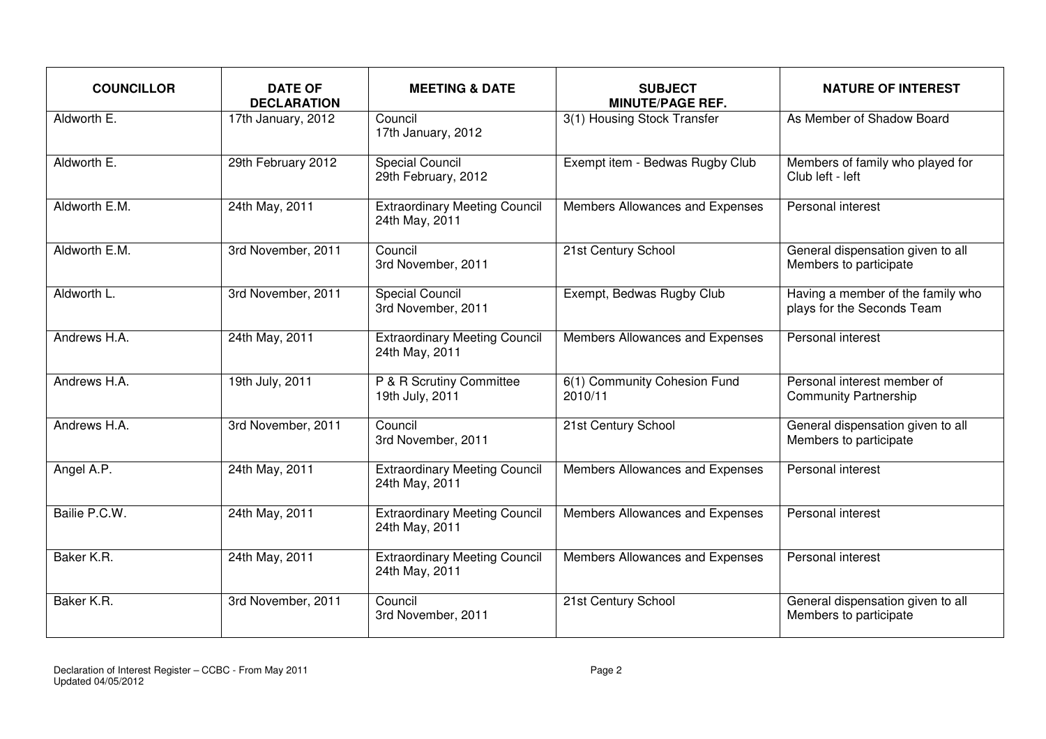| <b>COUNCILLOR</b> | <b>DATE OF</b><br><b>DECLARATION</b> | <b>MEETING &amp; DATE</b>                              | <b>SUBJECT</b><br><b>MINUTE/PAGE REF.</b> | <b>NATURE OF INTEREST</b>                                       |
|-------------------|--------------------------------------|--------------------------------------------------------|-------------------------------------------|-----------------------------------------------------------------|
| Aldworth E.       | 17th January, 2012                   | Council<br>17th January, 2012                          | 3(1) Housing Stock Transfer               | As Member of Shadow Board                                       |
| Aldworth E.       | 29th February 2012                   | <b>Special Council</b><br>29th February, 2012          | Exempt item - Bedwas Rugby Club           | Members of family who played for<br>Club left - left            |
| Aldworth E.M.     | 24th May, 2011                       | <b>Extraordinary Meeting Council</b><br>24th May, 2011 | Members Allowances and Expenses           | Personal interest                                               |
| Aldworth E.M.     | 3rd November, 2011                   | Council<br>3rd November, 2011                          | 21st Century School                       | General dispensation given to all<br>Members to participate     |
| Aldworth L.       | 3rd November, 2011                   | <b>Special Council</b><br>3rd November, 2011           | Exempt, Bedwas Rugby Club                 | Having a member of the family who<br>plays for the Seconds Team |
| Andrews H.A.      | 24th May, 2011                       | <b>Extraordinary Meeting Council</b><br>24th May, 2011 | Members Allowances and Expenses           | Personal interest                                               |
| Andrews H.A.      | 19th July, 2011                      | P & R Scrutiny Committee<br>19th July, 2011            | 6(1) Community Cohesion Fund<br>2010/11   | Personal interest member of<br><b>Community Partnership</b>     |
| Andrews H.A.      | 3rd November, 2011                   | Council<br>3rd November, 2011                          | 21st Century School                       | General dispensation given to all<br>Members to participate     |
| Angel A.P.        | 24th May, 2011                       | <b>Extraordinary Meeting Council</b><br>24th May, 2011 | Members Allowances and Expenses           | Personal interest                                               |
| Bailie P.C.W.     | 24th May, 2011                       | <b>Extraordinary Meeting Council</b><br>24th May, 2011 | Members Allowances and Expenses           | Personal interest                                               |
| Baker K.R.        | 24th May, 2011                       | <b>Extraordinary Meeting Council</b><br>24th May, 2011 | Members Allowances and Expenses           | Personal interest                                               |
| Baker K.R.        | 3rd November, 2011                   | Council<br>3rd November, 2011                          | 21st Century School                       | General dispensation given to all<br>Members to participate     |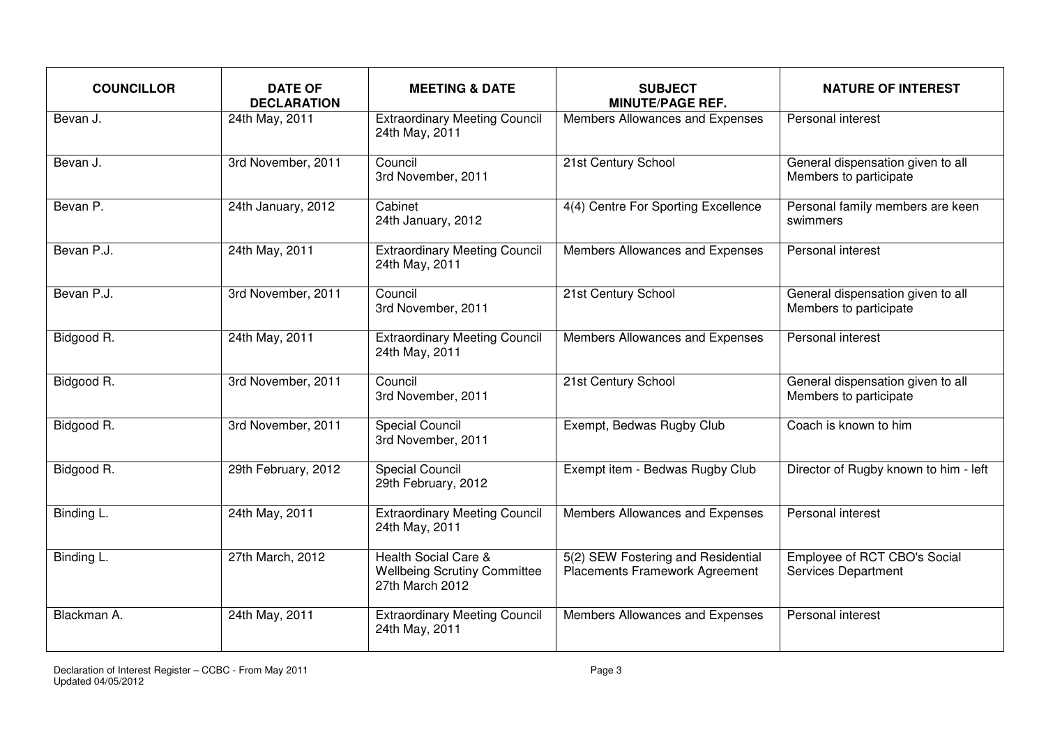| <b>COUNCILLOR</b> | <b>DATE OF</b><br><b>DECLARATION</b> | <b>MEETING &amp; DATE</b>                                                      | <b>SUBJECT</b><br><b>MINUTE/PAGE REF.</b>                                   | <b>NATURE OF INTEREST</b>                                   |
|-------------------|--------------------------------------|--------------------------------------------------------------------------------|-----------------------------------------------------------------------------|-------------------------------------------------------------|
| Bevan J.          | 24th May, 2011                       | <b>Extraordinary Meeting Council</b><br>24th May, 2011                         | Members Allowances and Expenses                                             | Personal interest                                           |
| Bevan J.          | 3rd November, 2011                   | Council<br>3rd November, 2011                                                  | 21st Century School                                                         | General dispensation given to all<br>Members to participate |
| Bevan P.          | 24th January, 2012                   | Cabinet<br>24th January, 2012                                                  | 4(4) Centre For Sporting Excellence                                         | Personal family members are keen<br>swimmers                |
| Bevan P.J.        | 24th May, 2011                       | <b>Extraordinary Meeting Council</b><br>24th May, 2011                         | Members Allowances and Expenses                                             | Personal interest                                           |
| Bevan P.J.        | 3rd November, 2011                   | Council<br>3rd November, 2011                                                  | 21st Century School                                                         | General dispensation given to all<br>Members to participate |
| Bidgood R.        | 24th May, 2011                       | <b>Extraordinary Meeting Council</b><br>24th May, 2011                         | Members Allowances and Expenses                                             | Personal interest                                           |
| Bidgood R.        | 3rd November, 2011                   | Council<br>3rd November, 2011                                                  | 21st Century School                                                         | General dispensation given to all<br>Members to participate |
| Bidgood R.        | 3rd November, 2011                   | <b>Special Council</b><br>3rd November, 2011                                   | Exempt, Bedwas Rugby Club                                                   | Coach is known to him                                       |
| Bidgood R.        | 29th February, 2012                  | <b>Special Council</b><br>29th February, 2012                                  | Exempt item - Bedwas Rugby Club                                             | Director of Rugby known to him - left                       |
| Binding L.        | 24th May, 2011                       | <b>Extraordinary Meeting Council</b><br>24th May, 2011                         | Members Allowances and Expenses                                             | Personal interest                                           |
| Binding L.        | 27th March, 2012                     | Health Social Care &<br><b>Wellbeing Scrutiny Committee</b><br>27th March 2012 | 5(2) SEW Fostering and Residential<br><b>Placements Framework Agreement</b> | Employee of RCT CBO's Social<br>Services Department         |
| Blackman A.       | 24th May, 2011                       | <b>Extraordinary Meeting Council</b><br>24th May, 2011                         | Members Allowances and Expenses                                             | Personal interest                                           |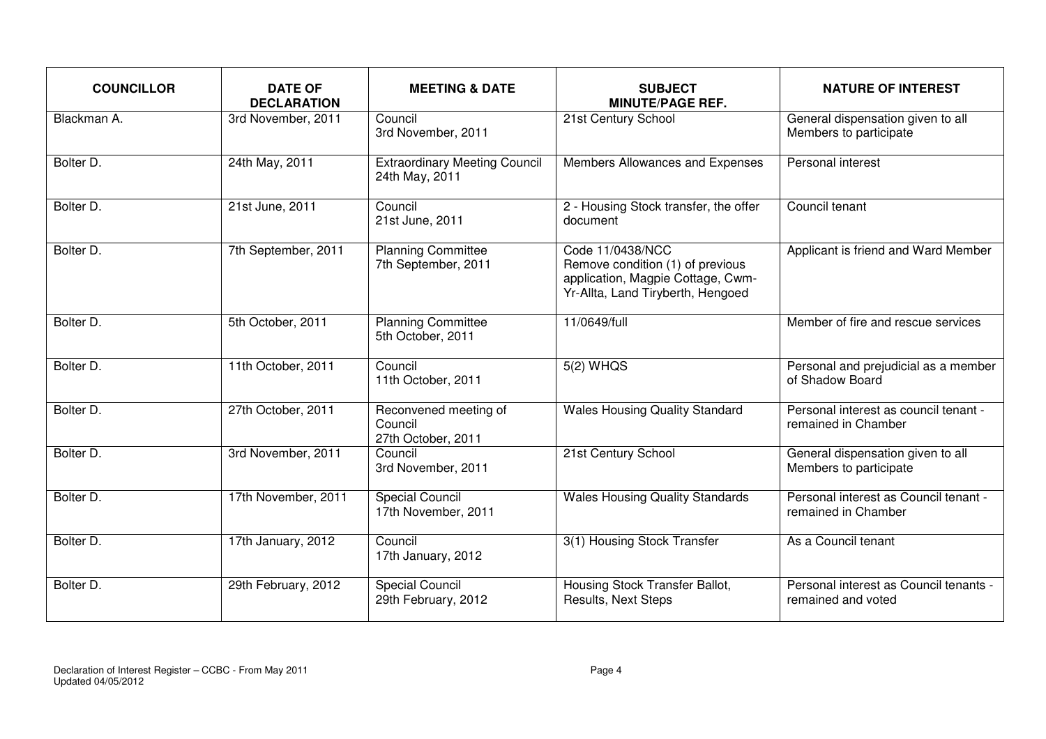| <b>COUNCILLOR</b> | <b>DATE OF</b><br><b>DECLARATION</b> | <b>MEETING &amp; DATE</b>                              | <b>SUBJECT</b><br><b>MINUTE/PAGE REF.</b>                                                                                      | <b>NATURE OF INTEREST</b>                                    |
|-------------------|--------------------------------------|--------------------------------------------------------|--------------------------------------------------------------------------------------------------------------------------------|--------------------------------------------------------------|
| Blackman A.       | 3rd November, 2011                   | Council<br>3rd November, 2011                          | 21st Century School                                                                                                            | General dispensation given to all<br>Members to participate  |
| Bolter D.         | 24th May, 2011                       | <b>Extraordinary Meeting Council</b><br>24th May, 2011 | Members Allowances and Expenses                                                                                                | Personal interest                                            |
| Bolter D.         | 21st June, 2011                      | Council<br>21st June, 2011                             | 2 - Housing Stock transfer, the offer<br>document                                                                              | Council tenant                                               |
| Bolter D.         | 7th September, 2011                  | <b>Planning Committee</b><br>7th September, 2011       | Code 11/0438/NCC<br>Remove condition (1) of previous<br>application, Magpie Cottage, Cwm-<br>Yr-Allta, Land Tiryberth, Hengoed | Applicant is friend and Ward Member                          |
| Bolter D.         | 5th October, 2011                    | <b>Planning Committee</b><br>5th October, 2011         | 11/0649/full                                                                                                                   | Member of fire and rescue services                           |
| Bolter D.         | 11th October, 2011                   | Council<br>11th October, 2011                          | $5(2)$ WHQS                                                                                                                    | Personal and prejudicial as a member<br>of Shadow Board      |
| Bolter D.         | 27th October, 2011                   | Reconvened meeting of<br>Council<br>27th October, 2011 | <b>Wales Housing Quality Standard</b>                                                                                          | Personal interest as council tenant -<br>remained in Chamber |
| Bolter D.         | 3rd November, 2011                   | Council<br>3rd November, 2011                          | 21st Century School                                                                                                            | General dispensation given to all<br>Members to participate  |
| Bolter D.         | 17th November, 2011                  | <b>Special Council</b><br>17th November, 2011          | <b>Wales Housing Quality Standards</b>                                                                                         | Personal interest as Council tenant -<br>remained in Chamber |
| Bolter D.         | 17th January, 2012                   | Council<br>17th January, 2012                          | 3(1) Housing Stock Transfer                                                                                                    | As a Council tenant                                          |
| Bolter D.         | 29th February, 2012                  | Special Council<br>29th February, 2012                 | Housing Stock Transfer Ballot,<br>Results, Next Steps                                                                          | Personal interest as Council tenants -<br>remained and voted |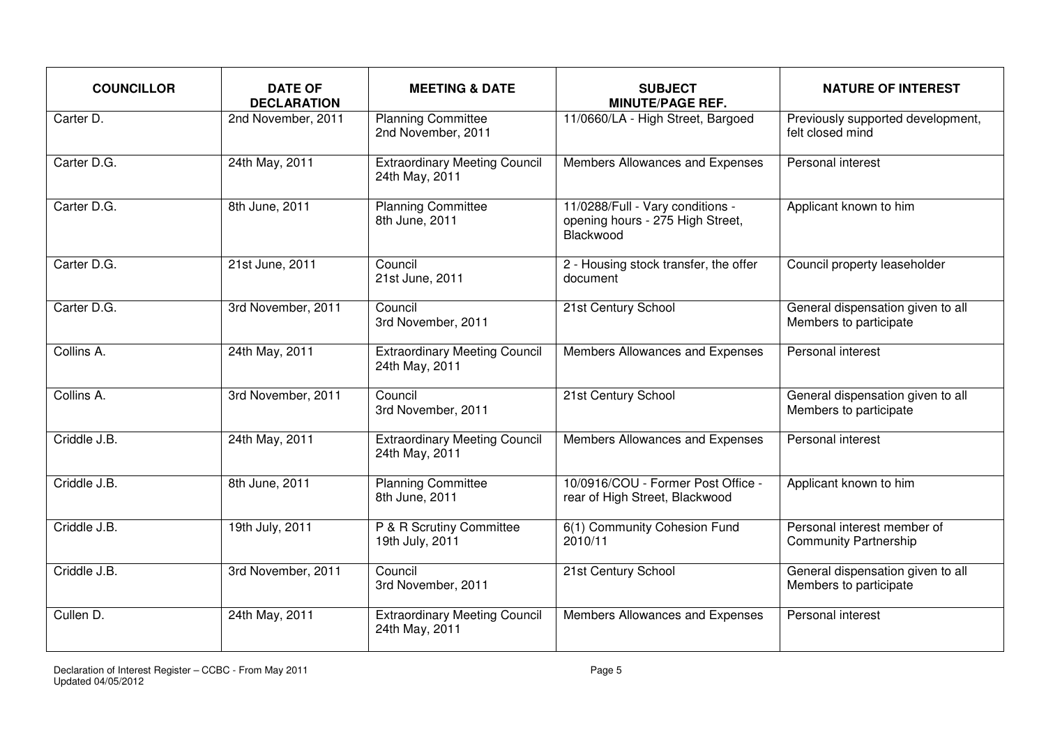| <b>COUNCILLOR</b> | <b>DATE OF</b><br><b>DECLARATION</b> | <b>MEETING &amp; DATE</b>                              | <b>SUBJECT</b><br><b>MINUTE/PAGE REF.</b>                                         | <b>NATURE OF INTEREST</b>                                   |
|-------------------|--------------------------------------|--------------------------------------------------------|-----------------------------------------------------------------------------------|-------------------------------------------------------------|
| Carter D.         | 2nd November, 2011                   | <b>Planning Committee</b><br>2nd November, 2011        | 11/0660/LA - High Street, Bargoed                                                 | Previously supported development,<br>felt closed mind       |
| Carter D.G.       | 24th May, 2011                       | <b>Extraordinary Meeting Council</b><br>24th May, 2011 | Members Allowances and Expenses                                                   | Personal interest                                           |
| Carter D.G.       | 8th June, 2011                       | <b>Planning Committee</b><br>8th June, 2011            | 11/0288/Full - Vary conditions -<br>opening hours - 275 High Street,<br>Blackwood | Applicant known to him                                      |
| Carter D.G.       | 21st June, 2011                      | Council<br>21st June, 2011                             | 2 - Housing stock transfer, the offer<br>document                                 | Council property leaseholder                                |
| Carter D.G.       | 3rd November, 2011                   | Council<br>3rd November, 2011                          | 21st Century School                                                               | General dispensation given to all<br>Members to participate |
| Collins A.        | 24th May, 2011                       | <b>Extraordinary Meeting Council</b><br>24th May, 2011 | Members Allowances and Expenses                                                   | Personal interest                                           |
| Collins A.        | 3rd November, 2011                   | Council<br>3rd November, 2011                          | 21st Century School                                                               | General dispensation given to all<br>Members to participate |
| Criddle J.B.      | 24th May, 2011                       | <b>Extraordinary Meeting Council</b><br>24th May, 2011 | Members Allowances and Expenses                                                   | Personal interest                                           |
| Criddle J.B.      | 8th June, 2011                       | <b>Planning Committee</b><br>8th June, 2011            | 10/0916/COU - Former Post Office -<br>rear of High Street, Blackwood              | Applicant known to him                                      |
| Criddle J.B.      | 19th July, 2011                      | P & R Scrutiny Committee<br>19th July, 2011            | 6(1) Community Cohesion Fund<br>2010/11                                           | Personal interest member of<br><b>Community Partnership</b> |
| Criddle J.B.      | 3rd November, 2011                   | Council<br>3rd November, 2011                          | 21st Century School                                                               | General dispensation given to all<br>Members to participate |
| Cullen D.         | 24th May, 2011                       | <b>Extraordinary Meeting Council</b><br>24th May, 2011 | Members Allowances and Expenses                                                   | Personal interest                                           |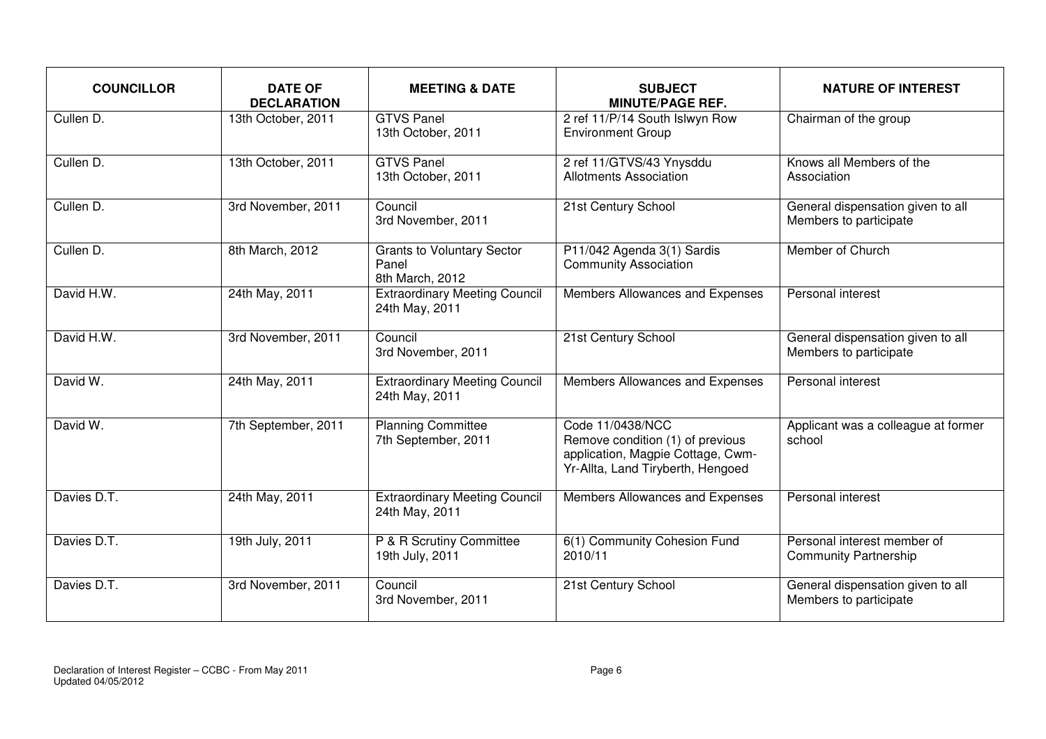| <b>COUNCILLOR</b> | <b>DATE OF</b><br><b>DECLARATION</b> | <b>MEETING &amp; DATE</b>                                     | <b>SUBJECT</b><br><b>MINUTE/PAGE REF.</b>                                                                                      | <b>NATURE OF INTEREST</b>                                   |
|-------------------|--------------------------------------|---------------------------------------------------------------|--------------------------------------------------------------------------------------------------------------------------------|-------------------------------------------------------------|
| Cullen D.         | 13th October, 2011                   | <b>GTVS Panel</b><br>13th October, 2011                       | 2 ref 11/P/14 South Islwyn Row<br><b>Environment Group</b>                                                                     | Chairman of the group                                       |
| Cullen D.         | 13th October, 2011                   | <b>GTVS Panel</b><br>13th October, 2011                       | 2 ref 11/GTVS/43 Ynysddu<br><b>Allotments Association</b>                                                                      | Knows all Members of the<br>Association                     |
| Cullen D.         | 3rd November, 2011                   | Council<br>3rd November, 2011                                 | 21st Century School                                                                                                            | General dispensation given to all<br>Members to participate |
| Cullen D.         | 8th March, 2012                      | <b>Grants to Voluntary Sector</b><br>Panel<br>8th March, 2012 | P11/042 Agenda 3(1) Sardis<br><b>Community Association</b>                                                                     | Member of Church                                            |
| David H.W.        | 24th May, 2011                       | <b>Extraordinary Meeting Council</b><br>24th May, 2011        | Members Allowances and Expenses                                                                                                | Personal interest                                           |
| David H.W.        | 3rd November, 2011                   | Council<br>3rd November, 2011                                 | 21st Century School                                                                                                            | General dispensation given to all<br>Members to participate |
| David W.          | 24th May, 2011                       | <b>Extraordinary Meeting Council</b><br>24th May, 2011        | Members Allowances and Expenses                                                                                                | Personal interest                                           |
| David W.          | 7th September, 2011                  | <b>Planning Committee</b><br>7th September, 2011              | Code 11/0438/NCC<br>Remove condition (1) of previous<br>application, Magpie Cottage, Cwm-<br>Yr-Allta, Land Tiryberth, Hengoed | Applicant was a colleague at former<br>school               |
| Davies D.T.       | 24th May, 2011                       | <b>Extraordinary Meeting Council</b><br>24th May, 2011        | Members Allowances and Expenses                                                                                                | Personal interest                                           |
| Davies D.T.       | 19th July, 2011                      | P & R Scrutiny Committee<br>19th July, 2011                   | 6(1) Community Cohesion Fund<br>2010/11                                                                                        | Personal interest member of<br><b>Community Partnership</b> |
| Davies D.T.       | 3rd November, 2011                   | Council<br>3rd November, 2011                                 | 21st Century School                                                                                                            | General dispensation given to all<br>Members to participate |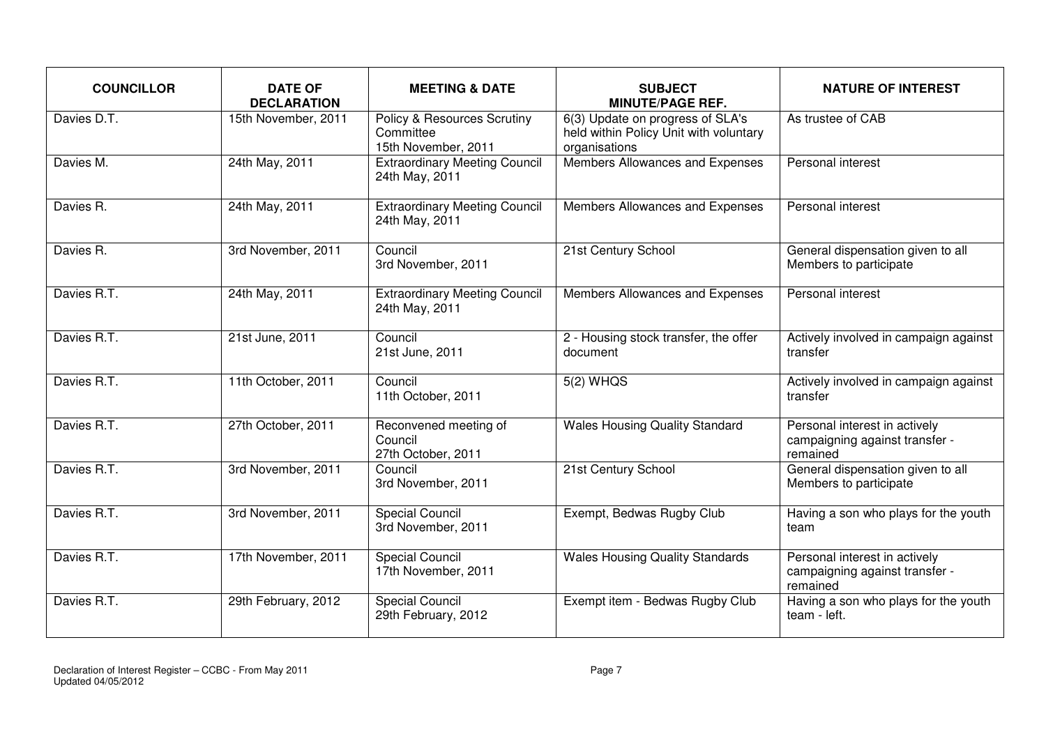| <b>COUNCILLOR</b> | <b>DATE OF</b><br><b>DECLARATION</b> | <b>MEETING &amp; DATE</b>                                                  | <b>SUBJECT</b><br><b>MINUTE/PAGE REF.</b>                                                   | <b>NATURE OF INTEREST</b>                                                   |
|-------------------|--------------------------------------|----------------------------------------------------------------------------|---------------------------------------------------------------------------------------------|-----------------------------------------------------------------------------|
| Davies D.T.       | 15th November, 2011                  | <b>Policy &amp; Resources Scrutiny</b><br>Committee<br>15th November, 2011 | 6(3) Update on progress of SLA's<br>held within Policy Unit with voluntary<br>organisations | As trustee of CAB                                                           |
| Davies M.         | 24th May, 2011                       | <b>Extraordinary Meeting Council</b><br>24th May, 2011                     | Members Allowances and Expenses                                                             | Personal interest                                                           |
| Davies R.         | 24th May, 2011                       | <b>Extraordinary Meeting Council</b><br>24th May, 2011                     | Members Allowances and Expenses                                                             | Personal interest                                                           |
| Davies R.         | 3rd November, 2011                   | Council<br>3rd November, 2011                                              | 21st Century School                                                                         | General dispensation given to all<br>Members to participate                 |
| Davies R.T.       | 24th May, 2011                       | <b>Extraordinary Meeting Council</b><br>24th May, 2011                     | Members Allowances and Expenses                                                             | Personal interest                                                           |
| Davies R.T.       | 21st June, 2011                      | Council<br>21st June, 2011                                                 | 2 - Housing stock transfer, the offer<br>document                                           | Actively involved in campaign against<br>transfer                           |
| Davies R.T.       | 11th October, 2011                   | Council<br>11th October, 2011                                              | $5(2)$ WHQS                                                                                 | Actively involved in campaign against<br>transfer                           |
| Davies R.T.       | 27th October, 2011                   | Reconvened meeting of<br>Council<br>27th October, 2011                     | <b>Wales Housing Quality Standard</b>                                                       | Personal interest in actively<br>campaigning against transfer -<br>remained |
| Davies R.T.       | 3rd November, 2011                   | Council<br>3rd November, 2011                                              | 21st Century School                                                                         | General dispensation given to all<br>Members to participate                 |
| Davies R.T.       | 3rd November, 2011                   | <b>Special Council</b><br>3rd November, 2011                               | Exempt, Bedwas Rugby Club                                                                   | Having a son who plays for the youth<br>team                                |
| Davies R.T.       | 17th November, 2011                  | <b>Special Council</b><br>17th November, 2011                              | <b>Wales Housing Quality Standards</b>                                                      | Personal interest in actively<br>campaigning against transfer -<br>remained |
| Davies R.T.       | 29th February, 2012                  | <b>Special Council</b><br>29th February, 2012                              | Exempt item - Bedwas Rugby Club                                                             | Having a son who plays for the youth<br>team - left.                        |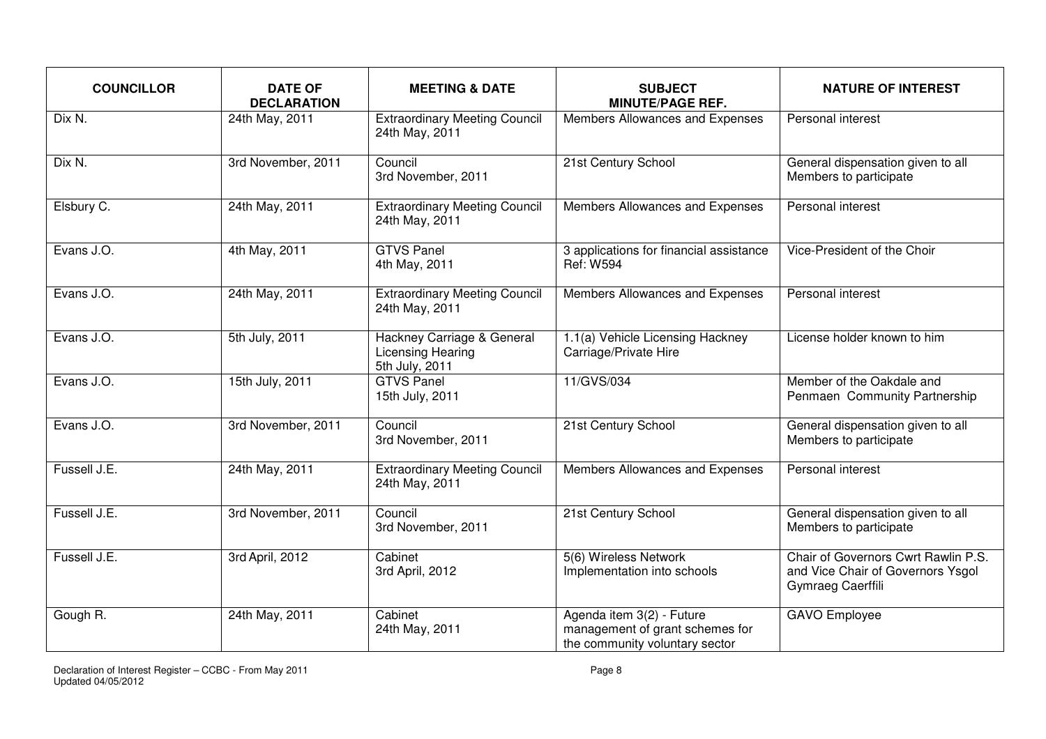| <b>COUNCILLOR</b> | <b>DATE OF</b><br><b>DECLARATION</b> | <b>MEETING &amp; DATE</b>                                         | <b>SUBJECT</b><br><b>MINUTE/PAGE REF.</b>                                                      | <b>NATURE OF INTEREST</b>                                                                     |
|-------------------|--------------------------------------|-------------------------------------------------------------------|------------------------------------------------------------------------------------------------|-----------------------------------------------------------------------------------------------|
| Dix N.            | 24th May, 2011                       | <b>Extraordinary Meeting Council</b><br>24th May, 2011            | Members Allowances and Expenses                                                                | Personal interest                                                                             |
| Dix N.            | 3rd November, 2011                   | Council<br>3rd November, 2011                                     | 21st Century School                                                                            | General dispensation given to all<br>Members to participate                                   |
| Elsbury C.        | 24th May, 2011                       | <b>Extraordinary Meeting Council</b><br>24th May, 2011            | Members Allowances and Expenses                                                                | Personal interest                                                                             |
| Evans J.O.        | 4th May, 2011                        | <b>GTVS Panel</b><br>4th May, 2011                                | 3 applications for financial assistance<br><b>Ref: W594</b>                                    | Vice-President of the Choir                                                                   |
| Evans J.O.        | 24th May, 2011                       | <b>Extraordinary Meeting Council</b><br>24th May, 2011            | Members Allowances and Expenses                                                                | Personal interest                                                                             |
| Evans J.O.        | 5th July, 2011                       | Hackney Carriage & General<br>Licensing Hearing<br>5th July, 2011 | 1.1(a) Vehicle Licensing Hackney<br>Carriage/Private Hire                                      | License holder known to him                                                                   |
| Evans J.O.        | 15th July, 2011                      | <b>GTVS Panel</b><br>15th July, 2011                              | 11/GVS/034                                                                                     | Member of the Oakdale and<br>Penmaen Community Partnership                                    |
| Evans $J.O.$      | 3rd November, 2011                   | Council<br>3rd November, 2011                                     | 21st Century School                                                                            | General dispensation given to all<br>Members to participate                                   |
| Fussell J.E.      | 24th May, 2011                       | <b>Extraordinary Meeting Council</b><br>24th May, 2011            | Members Allowances and Expenses                                                                | Personal interest                                                                             |
| Fussell J.E.      | 3rd November, 2011                   | Council<br>3rd November, 2011                                     | 21st Century School                                                                            | General dispensation given to all<br>Members to participate                                   |
| Fussell J.E.      | 3rd April, 2012                      | Cabinet<br>3rd April, 2012                                        | 5(6) Wireless Network<br>Implementation into schools                                           | Chair of Governors Cwrt Rawlin P.S.<br>and Vice Chair of Governors Ysgol<br>Gymraeg Caerffili |
| Gough R.          | 24th May, 2011                       | Cabinet<br>24th May, 2011                                         | Agenda item 3(2) - Future<br>management of grant schemes for<br>the community voluntary sector | <b>GAVO</b> Employee                                                                          |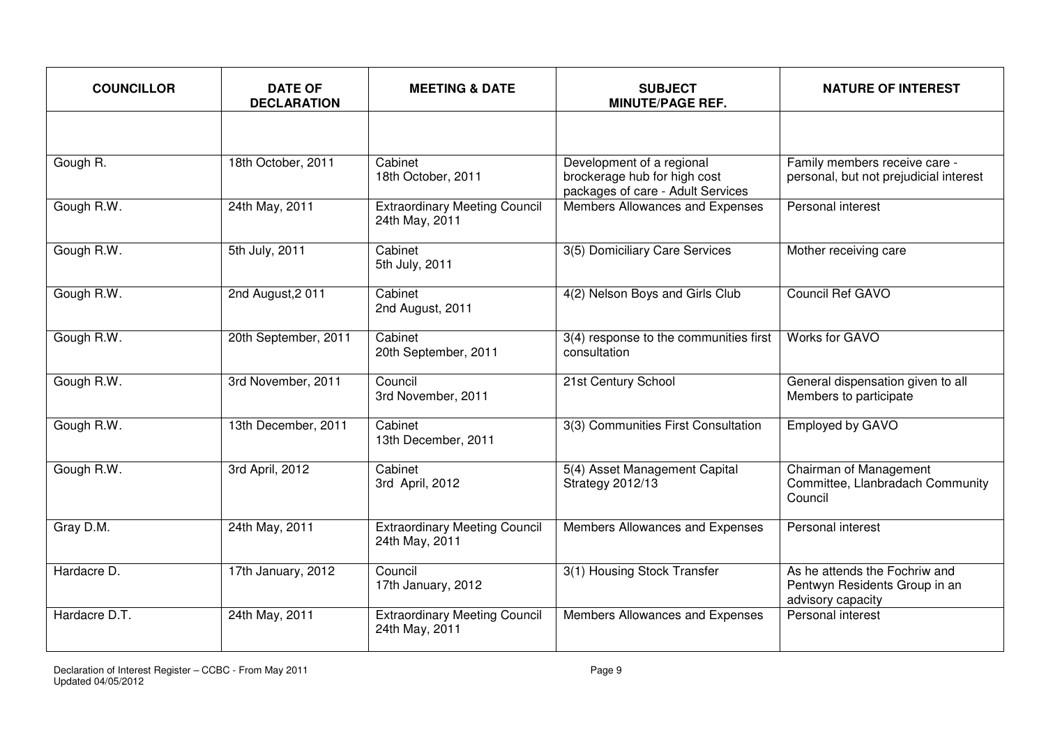| <b>COUNCILLOR</b> | <b>DATE OF</b><br><b>DECLARATION</b> | <b>MEETING &amp; DATE</b>                              | <b>SUBJECT</b><br><b>MINUTE/PAGE REF.</b>                                                      | <b>NATURE OF INTEREST</b>                                                           |
|-------------------|--------------------------------------|--------------------------------------------------------|------------------------------------------------------------------------------------------------|-------------------------------------------------------------------------------------|
|                   |                                      |                                                        |                                                                                                |                                                                                     |
| Gough R.          | 18th October, 2011                   | Cabinet<br>18th October, 2011                          | Development of a regional<br>brockerage hub for high cost<br>packages of care - Adult Services | Family members receive care -<br>personal, but not prejudicial interest             |
| Gough R.W.        | 24th May, 2011                       | <b>Extraordinary Meeting Council</b><br>24th May, 2011 | Members Allowances and Expenses                                                                | Personal interest                                                                   |
| Gough R.W.        | 5th July, 2011                       | Cabinet<br>5th July, 2011                              | 3(5) Domiciliary Care Services                                                                 | Mother receiving care                                                               |
| Gough R.W.        | 2nd August, 2011                     | Cabinet<br>2nd August, 2011                            | 4(2) Nelson Boys and Girls Club                                                                | Council Ref GAVO                                                                    |
| Gough R.W.        | 20th September, 2011                 | Cabinet<br>20th September, 2011                        | $3(4)$ response to the communities first<br>consultation                                       | <b>Works for GAVO</b>                                                               |
| Gough R.W.        | 3rd November, 2011                   | Council<br>3rd November, 2011                          | 21st Century School                                                                            | General dispensation given to all<br>Members to participate                         |
| Gough R.W.        | 13th December, 2011                  | Cabinet<br>13th December, 2011                         | 3(3) Communities First Consultation                                                            | <b>Employed by GAVO</b>                                                             |
| Gough R.W.        | 3rd April, 2012                      | Cabinet<br>3rd April, 2012                             | 5(4) Asset Management Capital<br>Strategy 2012/13                                              | Chairman of Management<br>Committee, Llanbradach Community<br>Council               |
| Gray D.M.         | 24th May, 2011                       | <b>Extraordinary Meeting Council</b><br>24th May, 2011 | Members Allowances and Expenses                                                                | Personal interest                                                                   |
| Hardacre D.       | 17th January, 2012                   | Council<br>17th January, 2012                          | 3(1) Housing Stock Transfer                                                                    | As he attends the Fochriw and<br>Pentwyn Residents Group in an<br>advisory capacity |
| Hardacre D.T.     | 24th May, 2011                       | <b>Extraordinary Meeting Council</b><br>24th May, 2011 | Members Allowances and Expenses                                                                | Personal interest                                                                   |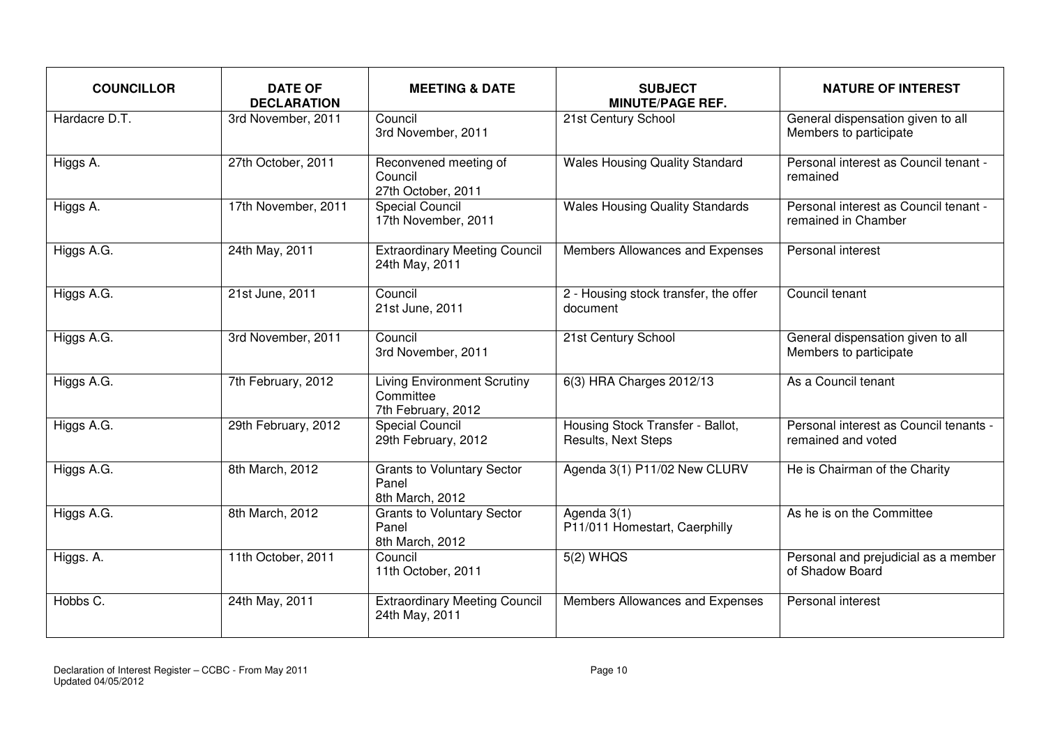| <b>COUNCILLOR</b> | <b>DATE OF</b><br><b>DECLARATION</b> | <b>MEETING &amp; DATE</b>                                             | <b>SUBJECT</b><br><b>MINUTE/PAGE REF.</b>               | <b>NATURE OF INTEREST</b>                                    |
|-------------------|--------------------------------------|-----------------------------------------------------------------------|---------------------------------------------------------|--------------------------------------------------------------|
| Hardacre D.T.     | 3rd November, 2011                   | Council<br>3rd November, 2011                                         | 21st Century School                                     | General dispensation given to all<br>Members to participate  |
| Higgs A.          | 27th October, 2011                   | Reconvened meeting of<br>Council<br>27th October, 2011                | <b>Wales Housing Quality Standard</b>                   | Personal interest as Council tenant -<br>remained            |
| Higgs A.          | 17th November, 2011                  | <b>Special Council</b><br>17th November, 2011                         | <b>Wales Housing Quality Standards</b>                  | Personal interest as Council tenant -<br>remained in Chamber |
| Higgs A.G.        | 24th May, 2011                       | <b>Extraordinary Meeting Council</b><br>24th May, 2011                | Members Allowances and Expenses                         | Personal interest                                            |
| Higgs A.G.        | 21st June, 2011                      | Council<br>21st June, 2011                                            | 2 - Housing stock transfer, the offer<br>document       | Council tenant                                               |
| Higgs A.G.        | 3rd November, 2011                   | Council<br>3rd November, 2011                                         | 21st Century School                                     | General dispensation given to all<br>Members to participate  |
| Higgs A.G.        | 7th February, 2012                   | <b>Living Environment Scrutiny</b><br>Committee<br>7th February, 2012 | 6(3) HRA Charges 2012/13                                | As a Council tenant                                          |
| Higgs A.G.        | 29th February, 2012                  | <b>Special Council</b><br>29th February, 2012                         | Housing Stock Transfer - Ballot,<br>Results, Next Steps | Personal interest as Council tenants -<br>remained and voted |
| Higgs A.G.        | 8th March, 2012                      | <b>Grants to Voluntary Sector</b><br>Panel<br>8th March, 2012         | Agenda 3(1) P11/02 New CLURV                            | He is Chairman of the Charity                                |
| Higgs A.G.        | 8th March, 2012                      | <b>Grants to Voluntary Sector</b><br>Panel<br>8th March, 2012         | Agenda 3(1)<br>P11/011 Homestart, Caerphilly            | As he is on the Committee                                    |
| Higgs. A.         | 11th October, 2011                   | Council<br>11th October, 2011                                         | $5(2)$ WHQS                                             | Personal and prejudicial as a member<br>of Shadow Board      |
| Hobbs C.          | 24th May, 2011                       | <b>Extraordinary Meeting Council</b><br>24th May, 2011                | Members Allowances and Expenses                         | Personal interest                                            |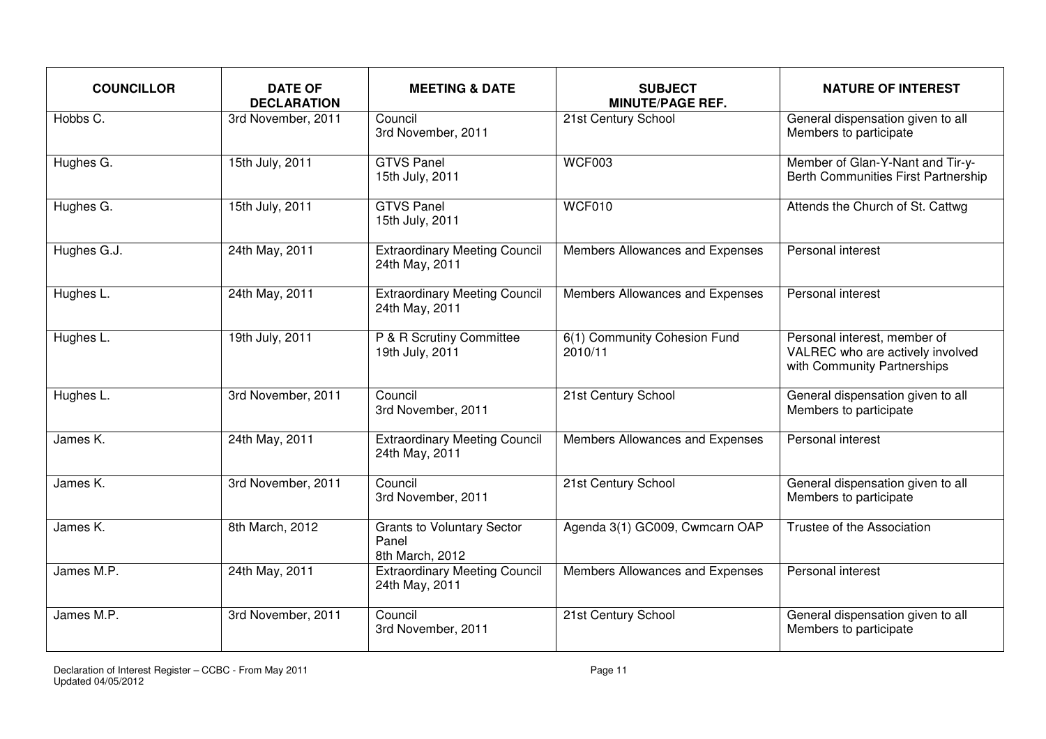| <b>COUNCILLOR</b> | <b>DATE OF</b><br><b>DECLARATION</b> | <b>MEETING &amp; DATE</b>                                     | <b>SUBJECT</b><br><b>MINUTE/PAGE REF.</b> | <b>NATURE OF INTEREST</b>                                                                       |
|-------------------|--------------------------------------|---------------------------------------------------------------|-------------------------------------------|-------------------------------------------------------------------------------------------------|
| Hobbs C.          | 3rd November, 2011                   | Council<br>3rd November, 2011                                 | 21st Century School                       | General dispensation given to all<br>Members to participate                                     |
| Hughes G.         | 15th July, 2011                      | <b>GTVS Panel</b><br>15th July, 2011                          | <b>WCF003</b>                             | Member of Glan-Y-Nant and Tir-y-<br>Berth Communities First Partnership                         |
| Hughes G.         | 15th July, 2011                      | <b>GTVS Panel</b><br>15th July, 2011                          | WCF010                                    | Attends the Church of St. Cattwg                                                                |
| Hughes G.J.       | 24th May, 2011                       | <b>Extraordinary Meeting Council</b><br>24th May, 2011        | Members Allowances and Expenses           | Personal interest                                                                               |
| Hughes L.         | 24th May, 2011                       | <b>Extraordinary Meeting Council</b><br>24th May, 2011        | Members Allowances and Expenses           | Personal interest                                                                               |
| Hughes L.         | 19th July, 2011                      | P & R Scrutiny Committee<br>19th July, 2011                   | 6(1) Community Cohesion Fund<br>2010/11   | Personal interest, member of<br>VALREC who are actively involved<br>with Community Partnerships |
| Hughes L.         | 3rd November, 2011                   | Council<br>3rd November, 2011                                 | 21st Century School                       | General dispensation given to all<br>Members to participate                                     |
| James K.          | 24th May, 2011                       | <b>Extraordinary Meeting Council</b><br>24th May, 2011        | Members Allowances and Expenses           | Personal interest                                                                               |
| James K.          | 3rd November, 2011                   | Council<br>3rd November, 2011                                 | 21st Century School                       | General dispensation given to all<br>Members to participate                                     |
| James K.          | 8th March, 2012                      | <b>Grants to Voluntary Sector</b><br>Panel<br>8th March, 2012 | Agenda 3(1) GC009, Cwmcarn OAP            | Trustee of the Association                                                                      |
| James M.P.        | 24th May, 2011                       | <b>Extraordinary Meeting Council</b><br>24th May, 2011        | Members Allowances and Expenses           | Personal interest                                                                               |
| James M.P.        | 3rd November, 2011                   | Council<br>3rd November, 2011                                 | 21st Century School                       | General dispensation given to all<br>Members to participate                                     |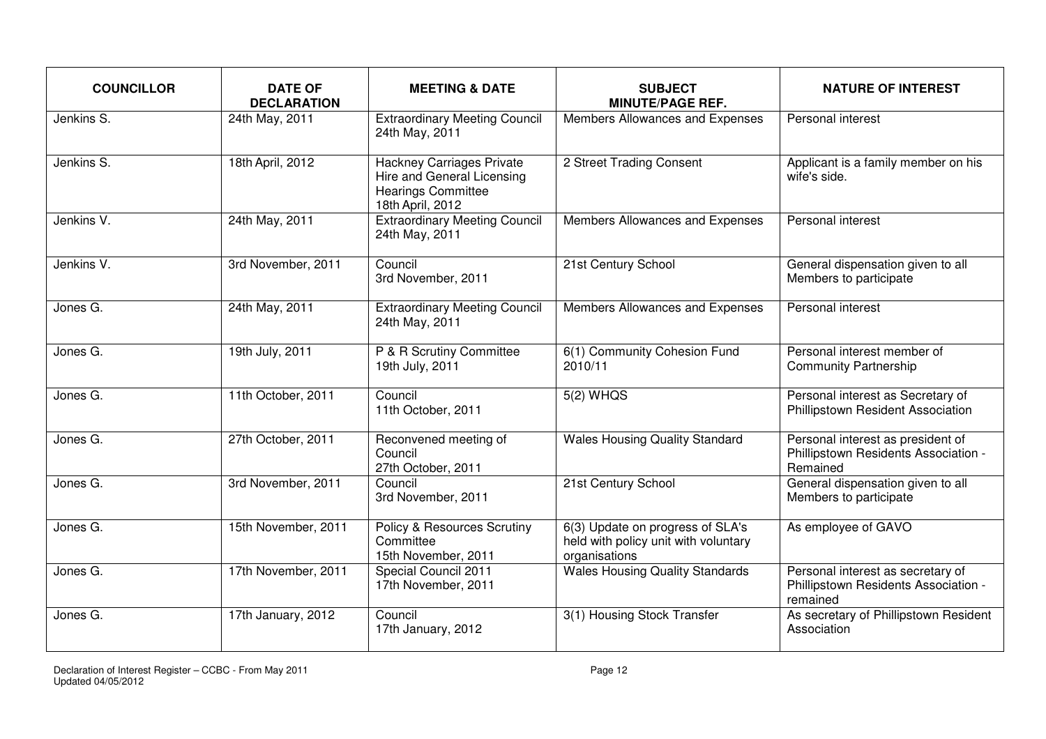| <b>COUNCILLOR</b> | <b>DATE OF</b><br><b>DECLARATION</b> | <b>MEETING &amp; DATE</b>                                                                                       | <b>SUBJECT</b><br><b>MINUTE/PAGE REF.</b>                                                 | <b>NATURE OF INTEREST</b>                                                             |
|-------------------|--------------------------------------|-----------------------------------------------------------------------------------------------------------------|-------------------------------------------------------------------------------------------|---------------------------------------------------------------------------------------|
| Jenkins S.        | 24th May, 2011                       | <b>Extraordinary Meeting Council</b><br>24th May, 2011                                                          | Members Allowances and Expenses                                                           | Personal interest                                                                     |
| Jenkins S.        | 18th April, 2012                     | <b>Hackney Carriages Private</b><br>Hire and General Licensing<br><b>Hearings Committee</b><br>18th April, 2012 | 2 Street Trading Consent                                                                  | Applicant is a family member on his<br>wife's side.                                   |
| Jenkins V.        | 24th May, 2011                       | <b>Extraordinary Meeting Council</b><br>24th May, 2011                                                          | Members Allowances and Expenses                                                           | Personal interest                                                                     |
| Jenkins V.        | 3rd November, 2011                   | Council<br>3rd November, 2011                                                                                   | 21st Century School                                                                       | General dispensation given to all<br>Members to participate                           |
| Jones G.          | 24th May, 2011                       | <b>Extraordinary Meeting Council</b><br>24th May, 2011                                                          | Members Allowances and Expenses                                                           | Personal interest                                                                     |
| Jones G.          | 19th July, 2011                      | P & R Scrutiny Committee<br>19th July, 2011                                                                     | 6(1) Community Cohesion Fund<br>2010/11                                                   | Personal interest member of<br><b>Community Partnership</b>                           |
| Jones G.          | 11th October, 2011                   | Council<br>11th October, 2011                                                                                   | 5(2) WHQS                                                                                 | Personal interest as Secretary of<br>Phillipstown Resident Association                |
| Jones G.          | 27th October, 2011                   | Reconvened meeting of<br>Council<br>27th October, 2011                                                          | <b>Wales Housing Quality Standard</b>                                                     | Personal interest as president of<br>Phillipstown Residents Association -<br>Remained |
| Jones G.          | 3rd November, 2011                   | Council<br>3rd November, 2011                                                                                   | 21st Century School                                                                       | General dispensation given to all<br>Members to participate                           |
| Jones G.          | 15th November, 2011                  | <b>Policy &amp; Resources Scrutiny</b><br>Committee<br>15th November, 2011                                      | 6(3) Update on progress of SLA's<br>held with policy unit with voluntary<br>organisations | As employee of GAVO                                                                   |
| Jones G.          | 17th November, 2011                  | Special Council 2011<br>17th November, 2011                                                                     | <b>Wales Housing Quality Standards</b>                                                    | Personal interest as secretary of<br>Phillipstown Residents Association -<br>remained |
| Jones G.          | 17th January, 2012                   | Council<br>17th January, 2012                                                                                   | 3(1) Housing Stock Transfer                                                               | As secretary of Phillipstown Resident<br>Association                                  |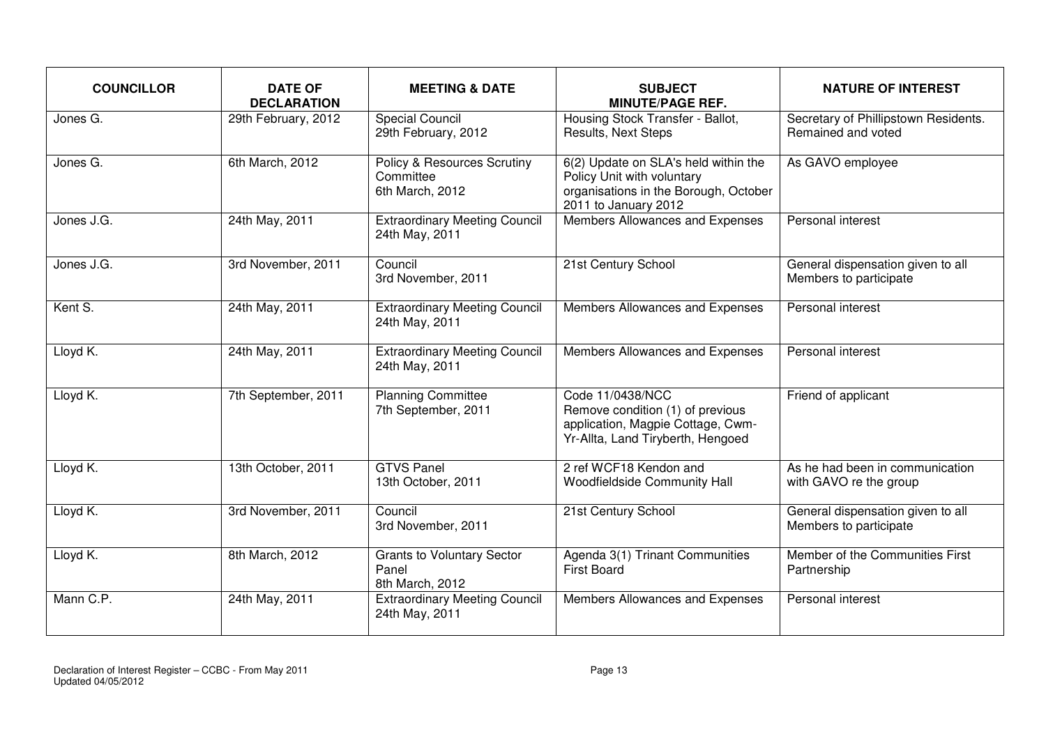| <b>COUNCILLOR</b> | <b>DATE OF</b><br><b>DECLARATION</b> | <b>MEETING &amp; DATE</b>                                              | <b>SUBJECT</b><br><b>MINUTE/PAGE REF.</b>                                                                                           | <b>NATURE OF INTEREST</b>                                   |
|-------------------|--------------------------------------|------------------------------------------------------------------------|-------------------------------------------------------------------------------------------------------------------------------------|-------------------------------------------------------------|
| Jones G.          | 29th February, 2012                  | <b>Special Council</b><br>29th February, 2012                          | Housing Stock Transfer - Ballot,<br>Results, Next Steps                                                                             | Secretary of Phillipstown Residents.<br>Remained and voted  |
| Jones G.          | 6th March, 2012                      | <b>Policy &amp; Resources Scrutiny</b><br>Committee<br>6th March, 2012 | 6(2) Update on SLA's held within the<br>Policy Unit with voluntary<br>organisations in the Borough, October<br>2011 to January 2012 | As GAVO employee                                            |
| Jones J.G.        | 24th May, 2011                       | <b>Extraordinary Meeting Council</b><br>24th May, 2011                 | Members Allowances and Expenses                                                                                                     | Personal interest                                           |
| Jones J.G.        | 3rd November, 2011                   | Council<br>3rd November, 2011                                          | 21st Century School                                                                                                                 | General dispensation given to all<br>Members to participate |
| Kent S.           | 24th May, 2011                       | <b>Extraordinary Meeting Council</b><br>24th May, 2011                 | Members Allowances and Expenses                                                                                                     | Personal interest                                           |
| Lloyd K.          | 24th May, 2011                       | <b>Extraordinary Meeting Council</b><br>24th May, 2011                 | Members Allowances and Expenses                                                                                                     | Personal interest                                           |
| Lloyd K.          | 7th September, 2011                  | <b>Planning Committee</b><br>7th September, 2011                       | Code 11/0438/NCC<br>Remove condition (1) of previous<br>application, Magpie Cottage, Cwm-<br>Yr-Allta, Land Tiryberth, Hengoed      | Friend of applicant                                         |
| Lloyd K.          | 13th October, 2011                   | <b>GTVS Panel</b><br>13th October, 2011                                | 2 ref WCF18 Kendon and<br>Woodfieldside Community Hall                                                                              | As he had been in communication<br>with GAVO re the group   |
| Lloyd K.          | 3rd November, 2011                   | Council<br>3rd November, 2011                                          | 21st Century School                                                                                                                 | General dispensation given to all<br>Members to participate |
| Lloyd K.          | 8th March, 2012                      | <b>Grants to Voluntary Sector</b><br>Panel<br>8th March, 2012          | Agenda 3(1) Trinant Communities<br><b>First Board</b>                                                                               | Member of the Communities First<br>Partnership              |
| Mann C.P.         | 24th May, 2011                       | <b>Extraordinary Meeting Council</b><br>24th May, 2011                 | Members Allowances and Expenses                                                                                                     | Personal interest                                           |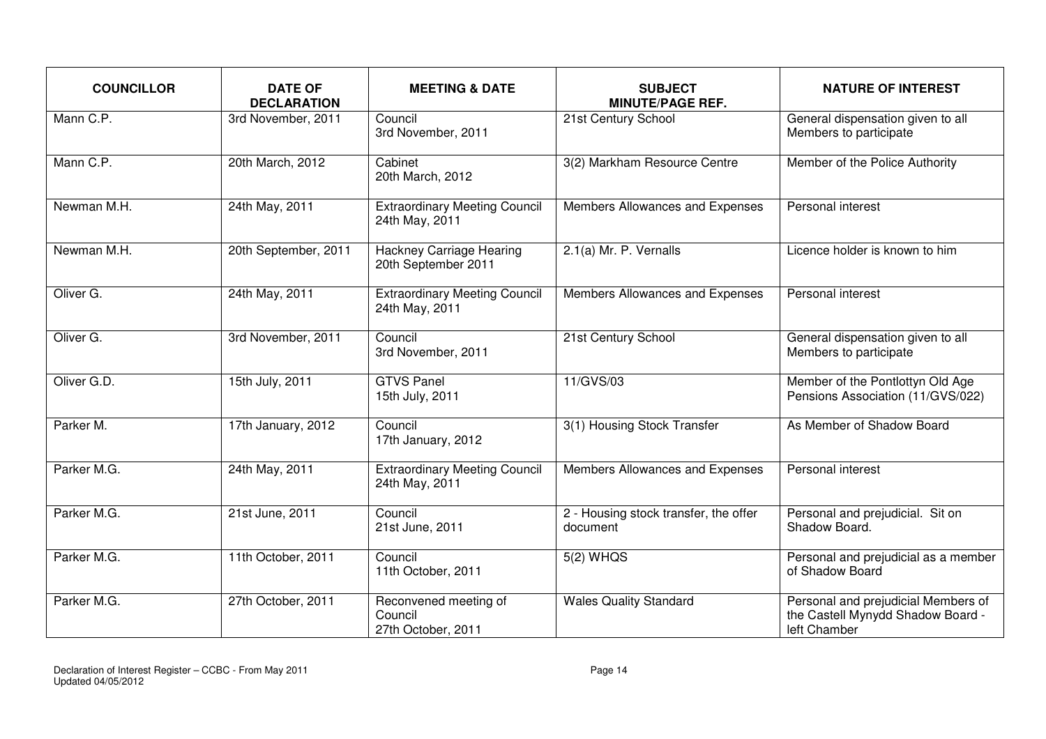| <b>COUNCILLOR</b> | <b>DATE OF</b><br><b>DECLARATION</b> | <b>MEETING &amp; DATE</b>                              | <b>SUBJECT</b><br><b>MINUTE/PAGE REF.</b>         | <b>NATURE OF INTEREST</b>                                                                |
|-------------------|--------------------------------------|--------------------------------------------------------|---------------------------------------------------|------------------------------------------------------------------------------------------|
| Mann C.P.         | 3rd November, 2011                   | Council<br>3rd November, 2011                          | 21st Century School                               | General dispensation given to all<br>Members to participate                              |
| Mann C.P.         | 20th March, 2012                     | Cabinet<br>20th March, 2012                            | 3(2) Markham Resource Centre                      | Member of the Police Authority                                                           |
| Newman M.H.       | 24th May, 2011                       | <b>Extraordinary Meeting Council</b><br>24th May, 2011 | Members Allowances and Expenses                   | Personal interest                                                                        |
| Newman M.H.       | 20th September, 2011                 | <b>Hackney Carriage Hearing</b><br>20th September 2011 | 2.1(a) Mr. P. Vernalls                            | Licence holder is known to him                                                           |
| Oliver G.         | 24th May, 2011                       | <b>Extraordinary Meeting Council</b><br>24th May, 2011 | Members Allowances and Expenses                   | Personal interest                                                                        |
| Oliver G.         | 3rd November, 2011                   | Council<br>3rd November, 2011                          | 21st Century School                               | General dispensation given to all<br>Members to participate                              |
| Oliver G.D.       | 15th July, 2011                      | <b>GTVS Panel</b><br>15th July, 2011                   | 11/GVS/03                                         | Member of the Pontlottyn Old Age<br>Pensions Association (11/GVS/022)                    |
| Parker M.         | 17th January, 2012                   | Council<br>17th January, 2012                          | 3(1) Housing Stock Transfer                       | As Member of Shadow Board                                                                |
| Parker M.G.       | 24th May, 2011                       | <b>Extraordinary Meeting Council</b><br>24th May, 2011 | Members Allowances and Expenses                   | <b>Personal interest</b>                                                                 |
| Parker M.G.       | 21st June, 2011                      | Council<br>21st June, 2011                             | 2 - Housing stock transfer, the offer<br>document | Personal and prejudicial. Sit on<br>Shadow Board.                                        |
| Parker M.G.       | 11th October, 2011                   | Council<br>11th October, 2011                          | $5(2)$ WHQS                                       | Personal and prejudicial as a member<br>of Shadow Board                                  |
| Parker M.G.       | 27th October, 2011                   | Reconvened meeting of<br>Council<br>27th October, 2011 | <b>Wales Quality Standard</b>                     | Personal and prejudicial Members of<br>the Castell Mynydd Shadow Board -<br>left Chamber |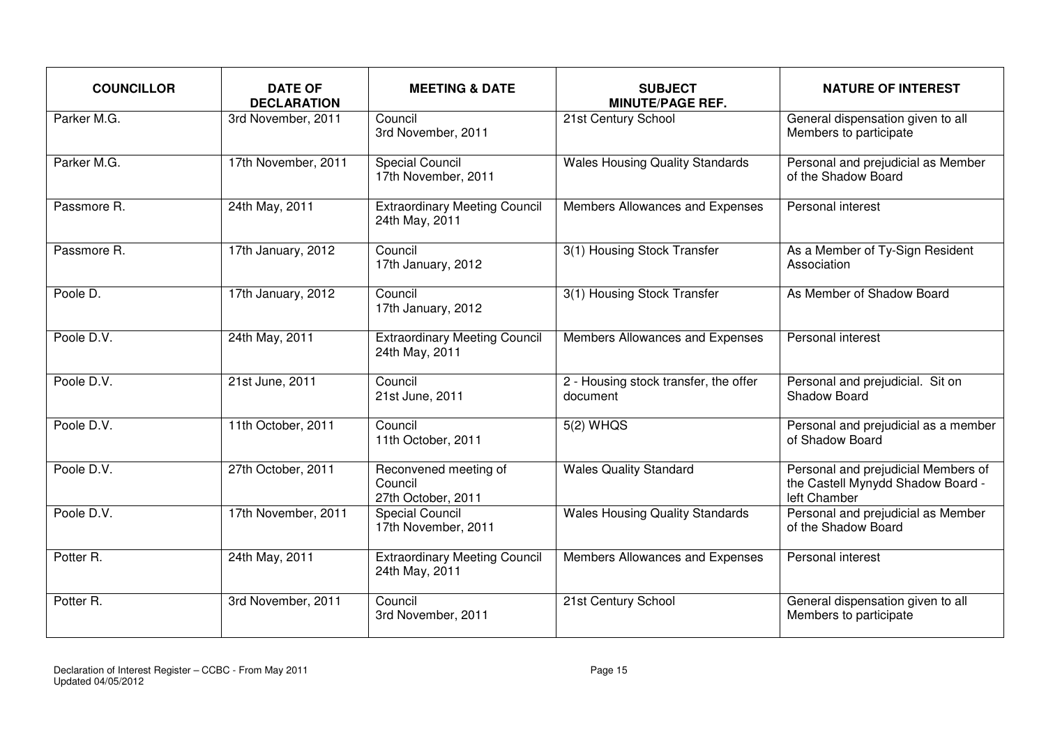| <b>COUNCILLOR</b> | <b>DATE OF</b><br><b>DECLARATION</b> | <b>MEETING &amp; DATE</b>                              | <b>SUBJECT</b><br><b>MINUTE/PAGE REF.</b>         | <b>NATURE OF INTEREST</b>                                                                |
|-------------------|--------------------------------------|--------------------------------------------------------|---------------------------------------------------|------------------------------------------------------------------------------------------|
| Parker M.G.       | 3rd November, 2011                   | Council<br>3rd November, 2011                          | 21st Century School                               | General dispensation given to all<br>Members to participate                              |
| Parker M.G.       | 17th November, 2011                  | <b>Special Council</b><br>17th November, 2011          | <b>Wales Housing Quality Standards</b>            | Personal and prejudicial as Member<br>of the Shadow Board                                |
| Passmore R.       | 24th May, 2011                       | <b>Extraordinary Meeting Council</b><br>24th May, 2011 | Members Allowances and Expenses                   | Personal interest                                                                        |
| Passmore R.       | 17th January, 2012                   | Council<br>17th January, 2012                          | 3(1) Housing Stock Transfer                       | As a Member of Ty-Sign Resident<br>Association                                           |
| Poole D.          | 17th January, 2012                   | Council<br>17th January, 2012                          | 3(1) Housing Stock Transfer                       | As Member of Shadow Board                                                                |
| Poole D.V.        | 24th May, 2011                       | <b>Extraordinary Meeting Council</b><br>24th May, 2011 | Members Allowances and Expenses                   | Personal interest                                                                        |
| Poole D.V.        | 21st June, 2011                      | Council<br>21st June, 2011                             | 2 - Housing stock transfer, the offer<br>document | Personal and prejudicial. Sit on<br>Shadow Board                                         |
| Poole D.V.        | 11th October, 2011                   | Council<br>11th October, 2011                          | $5(2)$ WHQS                                       | Personal and prejudicial as a member<br>of Shadow Board                                  |
| Poole D.V.        | 27th October, 2011                   | Reconvened meeting of<br>Council<br>27th October, 2011 | <b>Wales Quality Standard</b>                     | Personal and prejudicial Members of<br>the Castell Mynydd Shadow Board -<br>left Chamber |
| Poole D.V.        | 17th November, 2011                  | Special Council<br>17th November, 2011                 | <b>Wales Housing Quality Standards</b>            | Personal and prejudicial as Member<br>of the Shadow Board                                |
| Potter R.         | 24th May, 2011                       | <b>Extraordinary Meeting Council</b><br>24th May, 2011 | Members Allowances and Expenses                   | Personal interest                                                                        |
| Potter R.         | 3rd November, 2011                   | Council<br>3rd November, 2011                          | 21st Century School                               | General dispensation given to all<br>Members to participate                              |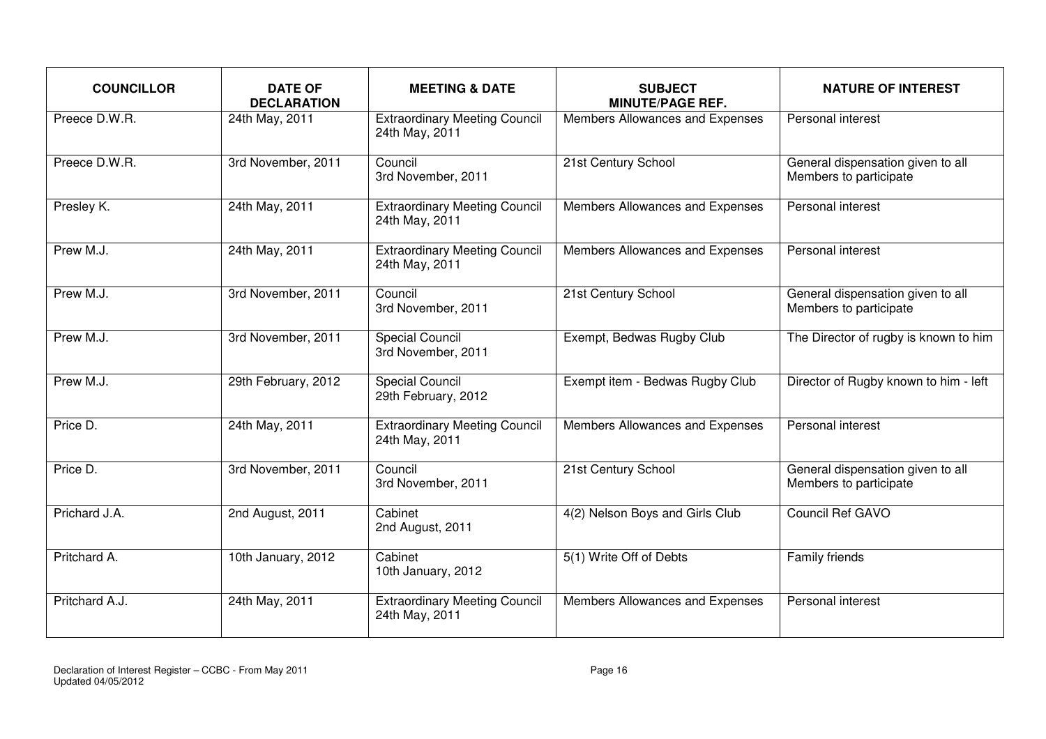| <b>COUNCILLOR</b> | <b>DATE OF</b><br><b>DECLARATION</b> | <b>MEETING &amp; DATE</b>                              | <b>SUBJECT</b><br><b>MINUTE/PAGE REF.</b> | <b>NATURE OF INTEREST</b>                                   |
|-------------------|--------------------------------------|--------------------------------------------------------|-------------------------------------------|-------------------------------------------------------------|
| Preece D.W.R.     | 24th May, 2011                       | <b>Extraordinary Meeting Council</b><br>24th May, 2011 | Members Allowances and Expenses           | Personal interest                                           |
| Preece D.W.R.     | 3rd November, 2011                   | Council<br>3rd November, 2011                          | 21st Century School                       | General dispensation given to all<br>Members to participate |
| Presley K.        | 24th May, 2011                       | <b>Extraordinary Meeting Council</b><br>24th May, 2011 | Members Allowances and Expenses           | Personal interest                                           |
| Prew M.J.         | 24th May, 2011                       | <b>Extraordinary Meeting Council</b><br>24th May, 2011 | Members Allowances and Expenses           | Personal interest                                           |
| Prew M.J.         | 3rd November, 2011                   | Council<br>3rd November, 2011                          | 21st Century School                       | General dispensation given to all<br>Members to participate |
| Prew M.J.         | 3rd November, 2011                   | <b>Special Council</b><br>3rd November, 2011           | Exempt, Bedwas Rugby Club                 | The Director of rugby is known to him                       |
| Prew M.J.         | 29th February, 2012                  | <b>Special Council</b><br>29th February, 2012          | Exempt item - Bedwas Rugby Club           | Director of Rugby known to him - left                       |
| Price D.          | 24th May, 2011                       | <b>Extraordinary Meeting Council</b><br>24th May, 2011 | Members Allowances and Expenses           | Personal interest                                           |
| Price D.          | 3rd November, 2011                   | Council<br>3rd November, 2011                          | 21st Century School                       | General dispensation given to all<br>Members to participate |
| Prichard J.A.     | 2nd August, 2011                     | Cabinet<br>2nd August, 2011                            | 4(2) Nelson Boys and Girls Club           | Council Ref GAVO                                            |
| Pritchard A.      | 10th January, 2012                   | Cabinet<br>10th January, 2012                          | 5(1) Write Off of Debts                   | Family friends                                              |
| Pritchard A.J.    | 24th May, 2011                       | <b>Extraordinary Meeting Council</b><br>24th May, 2011 | Members Allowances and Expenses           | Personal interest                                           |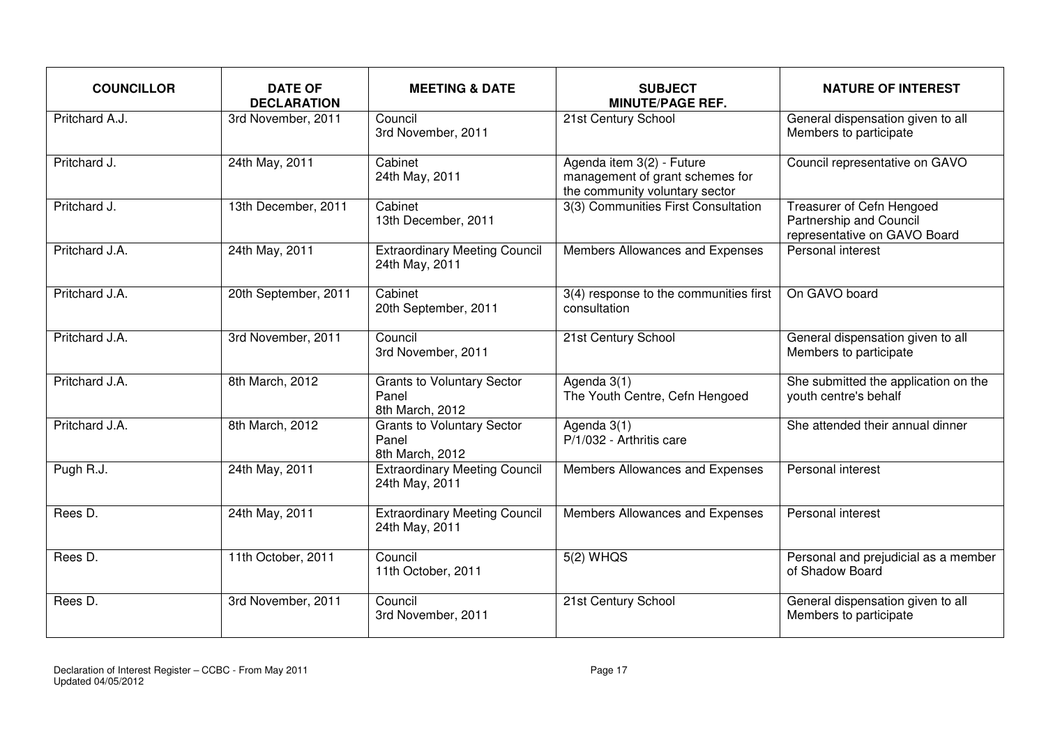| <b>COUNCILLOR</b> | <b>DATE OF</b><br><b>DECLARATION</b> | <b>MEETING &amp; DATE</b>                                     | <b>SUBJECT</b><br><b>MINUTE/PAGE REF.</b>                                                      | <b>NATURE OF INTEREST</b>                                                            |
|-------------------|--------------------------------------|---------------------------------------------------------------|------------------------------------------------------------------------------------------------|--------------------------------------------------------------------------------------|
| Pritchard A.J.    | 3rd November, 2011                   | Council<br>3rd November, 2011                                 | 21st Century School                                                                            | General dispensation given to all<br>Members to participate                          |
| Pritchard J.      | 24th May, 2011                       | Cabinet<br>24th May, 2011                                     | Agenda item 3(2) - Future<br>management of grant schemes for<br>the community voluntary sector | Council representative on GAVO                                                       |
| Pritchard J.      | 13th December, 2011                  | Cabinet<br>13th December, 2011                                | 3(3) Communities First Consultation                                                            | Treasurer of Cefn Hengoed<br>Partnership and Council<br>representative on GAVO Board |
| Pritchard J.A.    | 24th May, 2011                       | <b>Extraordinary Meeting Council</b><br>24th May, 2011        | Members Allowances and Expenses                                                                | Personal interest                                                                    |
| Pritchard J.A.    | 20th September, 2011                 | Cabinet<br>20th September, 2011                               | 3(4) response to the communities first<br>consultation                                         | On GAVO board                                                                        |
| Pritchard J.A.    | 3rd November, 2011                   | Council<br>3rd November, 2011                                 | 21st Century School                                                                            | General dispensation given to all<br>Members to participate                          |
| Pritchard J.A.    | 8th March, 2012                      | <b>Grants to Voluntary Sector</b><br>Panel<br>8th March, 2012 | Agenda 3(1)<br>The Youth Centre, Cefn Hengoed                                                  | She submitted the application on the<br>youth centre's behalf                        |
| Pritchard J.A.    | 8th March, 2012                      | <b>Grants to Voluntary Sector</b><br>Panel<br>8th March, 2012 | Agenda 3(1)<br>P/1/032 - Arthritis care                                                        | She attended their annual dinner                                                     |
| Pugh R.J.         | 24th May, 2011                       | <b>Extraordinary Meeting Council</b><br>24th May, 2011        | Members Allowances and Expenses                                                                | <b>Personal interest</b>                                                             |
| Rees D.           | 24th May, 2011                       | <b>Extraordinary Meeting Council</b><br>24th May, 2011        | Members Allowances and Expenses                                                                | Personal interest                                                                    |
| Rees D.           | 11th October, 2011                   | Council<br>11th October, 2011                                 | 5(2) WHQS                                                                                      | Personal and prejudicial as a member<br>of Shadow Board                              |
| Rees D.           | 3rd November, 2011                   | Council<br>3rd November, 2011                                 | 21st Century School                                                                            | General dispensation given to all<br>Members to participate                          |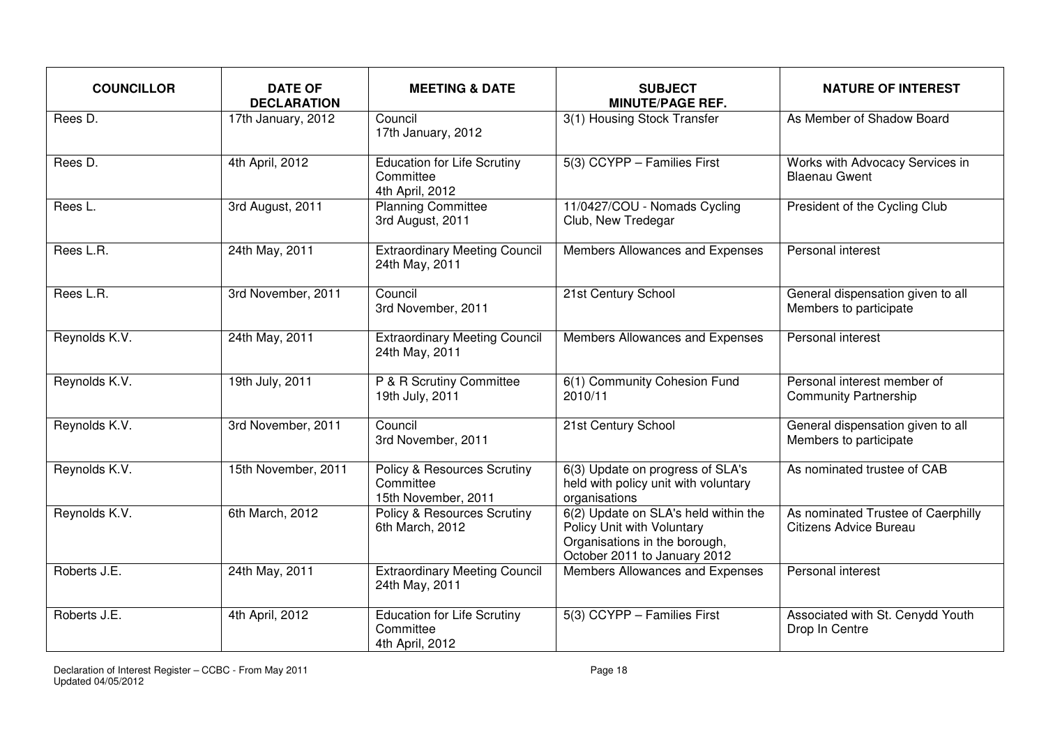| <b>COUNCILLOR</b>     | <b>DATE OF</b><br><b>DECLARATION</b> | <b>MEETING &amp; DATE</b>                                                  | <b>SUBJECT</b><br><b>MINUTE/PAGE REF.</b>                                                                                           | <b>NATURE OF INTEREST</b>                                    |
|-----------------------|--------------------------------------|----------------------------------------------------------------------------|-------------------------------------------------------------------------------------------------------------------------------------|--------------------------------------------------------------|
| Rees $\overline{D}$ . | 17th January, 2012                   | Council<br>17th January, 2012                                              | 3(1) Housing Stock Transfer                                                                                                         | As Member of Shadow Board                                    |
| Rees D.               | 4th April, 2012                      | <b>Education for Life Scrutiny</b><br>Committee<br>4th April, 2012         | 5(3) CCYPP - Families First                                                                                                         | Works with Advocacy Services in<br><b>Blaenau Gwent</b>      |
| Rees L.               | 3rd August, 2011                     | <b>Planning Committee</b><br>3rd August, 2011                              | 11/0427/COU - Nomads Cycling<br>Club, New Tredegar                                                                                  | President of the Cycling Club                                |
| Rees L.R.             | 24th May, 2011                       | <b>Extraordinary Meeting Council</b><br>24th May, 2011                     | Members Allowances and Expenses                                                                                                     | Personal interest                                            |
| Rees L.R.             | 3rd November, 2011                   | Council<br>3rd November, 2011                                              | 21st Century School                                                                                                                 | General dispensation given to all<br>Members to participate  |
| Reynolds K.V.         | 24th May, 2011                       | <b>Extraordinary Meeting Council</b><br>24th May, 2011                     | Members Allowances and Expenses                                                                                                     | Personal interest                                            |
| Reynolds K.V.         | 19th July, 2011                      | P & R Scrutiny Committee<br>19th July, 2011                                | 6(1) Community Cohesion Fund<br>2010/11                                                                                             | Personal interest member of<br><b>Community Partnership</b>  |
| Reynolds K.V.         | 3rd November, 2011                   | Council<br>3rd November, 2011                                              | 21st Century School                                                                                                                 | General dispensation given to all<br>Members to participate  |
| Reynolds K.V.         | 15th November, 2011                  | <b>Policy &amp; Resources Scrutiny</b><br>Committee<br>15th November, 2011 | 6(3) Update on progress of SLA's<br>held with policy unit with voluntary<br>organisations                                           | As nominated trustee of CAB                                  |
| Reynolds K.V.         | 6th March, 2012                      | <b>Policy &amp; Resources Scrutiny</b><br>6th March, 2012                  | 6(2) Update on SLA's held within the<br>Policy Unit with Voluntary<br>Organisations in the borough,<br>October 2011 to January 2012 | As nominated Trustee of Caerphilly<br>Citizens Advice Bureau |
| Roberts J.E.          | 24th May, 2011                       | <b>Extraordinary Meeting Council</b><br>24th May, 2011                     | Members Allowances and Expenses                                                                                                     | Personal interest                                            |
| Roberts J.E.          | 4th April, 2012                      | <b>Education for Life Scrutiny</b><br>Committee<br>4th April, 2012         | 5(3) CCYPP - Families First                                                                                                         | Associated with St. Cenydd Youth<br>Drop In Centre           |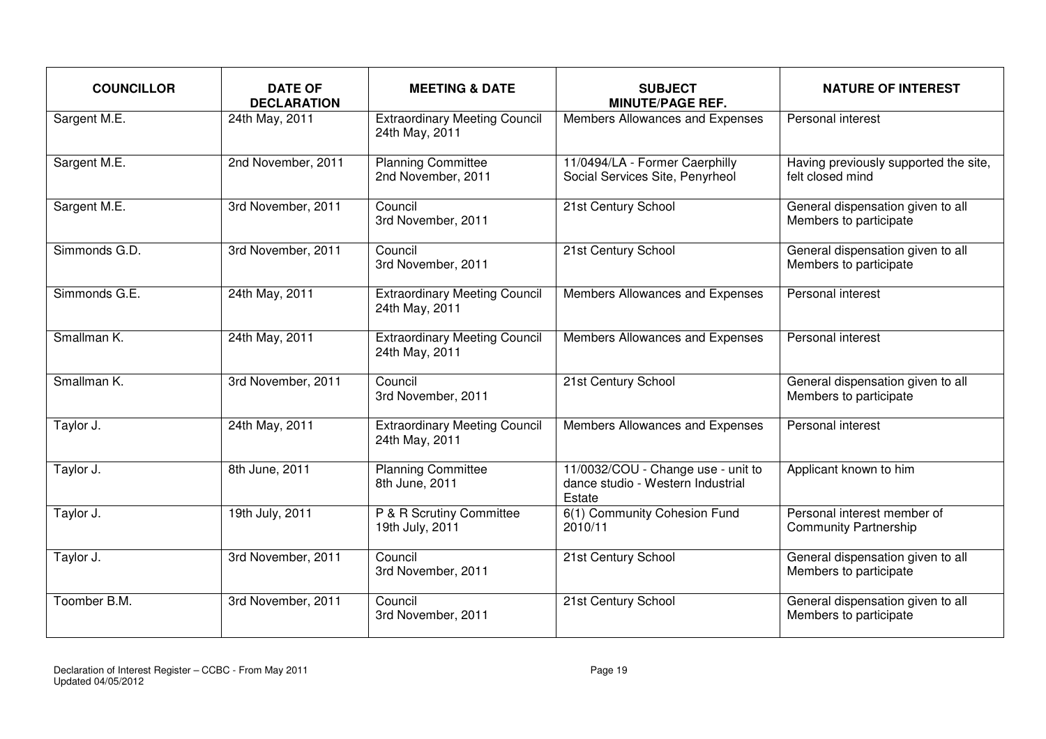| <b>COUNCILLOR</b> | <b>DATE OF</b><br><b>DECLARATION</b> | <b>MEETING &amp; DATE</b>                              | <b>SUBJECT</b><br><b>MINUTE/PAGE REF.</b>                                         | <b>NATURE OF INTEREST</b>                                   |
|-------------------|--------------------------------------|--------------------------------------------------------|-----------------------------------------------------------------------------------|-------------------------------------------------------------|
| Sargent M.E.      | 24th May, 2011                       | <b>Extraordinary Meeting Council</b><br>24th May, 2011 | Members Allowances and Expenses                                                   | Personal interest                                           |
| Sargent M.E.      | 2nd November, 2011                   | <b>Planning Committee</b><br>2nd November, 2011        | 11/0494/LA - Former Caerphilly<br>Social Services Site, Penyrheol                 | Having previously supported the site,<br>felt closed mind   |
| Sargent M.E.      | 3rd November, 2011                   | Council<br>3rd November, 2011                          | 21st Century School                                                               | General dispensation given to all<br>Members to participate |
| Simmonds G.D.     | 3rd November, 2011                   | Council<br>3rd November, 2011                          | 21st Century School                                                               | General dispensation given to all<br>Members to participate |
| Simmonds G.E.     | 24th May, 2011                       | <b>Extraordinary Meeting Council</b><br>24th May, 2011 | Members Allowances and Expenses                                                   | Personal interest                                           |
| Smallman K.       | 24th May, 2011                       | <b>Extraordinary Meeting Council</b><br>24th May, 2011 | Members Allowances and Expenses                                                   | Personal interest                                           |
| Smallman K.       | 3rd November, 2011                   | Council<br>3rd November, 2011                          | 21st Century School                                                               | General dispensation given to all<br>Members to participate |
| Taylor J.         | 24th May, 2011                       | <b>Extraordinary Meeting Council</b><br>24th May, 2011 | Members Allowances and Expenses                                                   | Personal interest                                           |
| Taylor J.         | 8th June, 2011                       | <b>Planning Committee</b><br>8th June, 2011            | 11/0032/COU - Change use - unit to<br>dance studio - Western Industrial<br>Estate | Applicant known to him                                      |
| Taylor J.         | 19th July, 2011                      | P & R Scrutiny Committee<br>19th July, 2011            | 6(1) Community Cohesion Fund<br>2010/11                                           | Personal interest member of<br><b>Community Partnership</b> |
| Taylor J.         | 3rd November, 2011                   | Council<br>3rd November, 2011                          | 21st Century School                                                               | General dispensation given to all<br>Members to participate |
| Toomber B.M.      | 3rd November, 2011                   | Council<br>3rd November, 2011                          | 21st Century School                                                               | General dispensation given to all<br>Members to participate |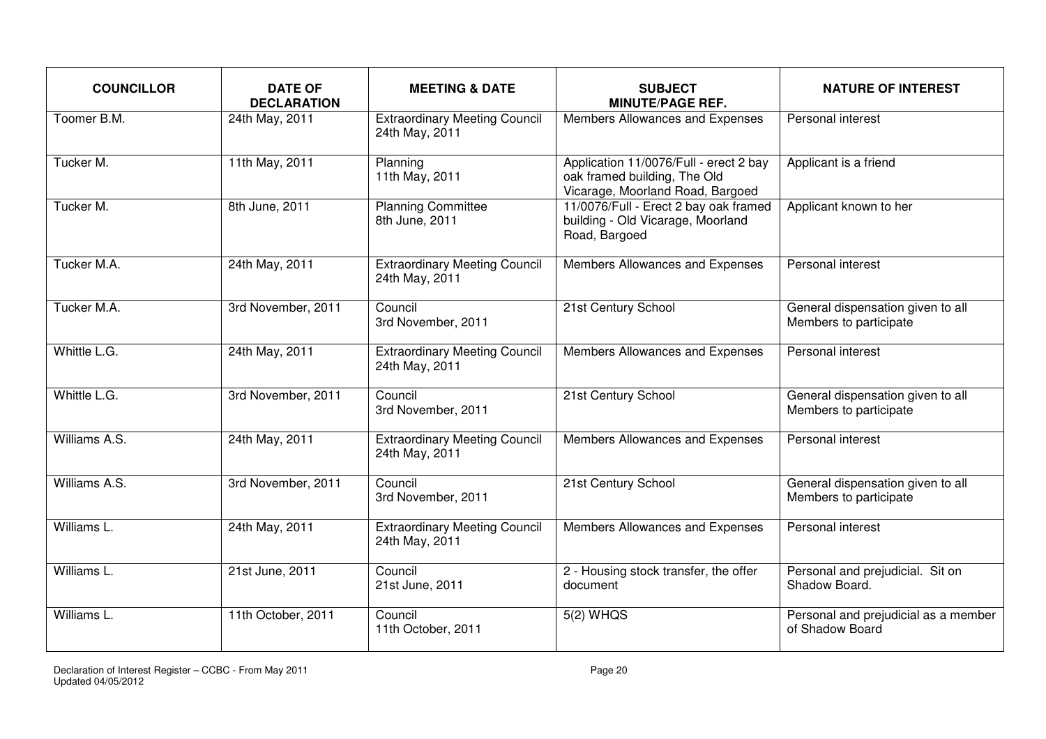| <b>COUNCILLOR</b> | <b>DATE OF</b><br><b>DECLARATION</b> | <b>MEETING &amp; DATE</b>                              | <b>SUBJECT</b><br><b>MINUTE/PAGE REF.</b>                                                                  | <b>NATURE OF INTEREST</b>                                   |
|-------------------|--------------------------------------|--------------------------------------------------------|------------------------------------------------------------------------------------------------------------|-------------------------------------------------------------|
| Toomer B.M.       | 24th May, 2011                       | <b>Extraordinary Meeting Council</b><br>24th May, 2011 | Members Allowances and Expenses                                                                            | Personal interest                                           |
| Tucker M.         | 11th May, 2011                       | Planning<br>11th May, 2011                             | Application 11/0076/Full - erect 2 bay<br>oak framed building, The Old<br>Vicarage, Moorland Road, Bargoed | Applicant is a friend                                       |
| Tucker M.         | 8th June, 2011                       | <b>Planning Committee</b><br>8th June, 2011            | 11/0076/Full - Erect 2 bay oak framed<br>building - Old Vicarage, Moorland<br>Road, Bargoed                | Applicant known to her                                      |
| Tucker M.A.       | 24th May, 2011                       | <b>Extraordinary Meeting Council</b><br>24th May, 2011 | Members Allowances and Expenses                                                                            | Personal interest                                           |
| Tucker M.A.       | 3rd November, 2011                   | Council<br>3rd November, 2011                          | 21st Century School                                                                                        | General dispensation given to all<br>Members to participate |
| Whittle L.G.      | 24th May, 2011                       | <b>Extraordinary Meeting Council</b><br>24th May, 2011 | Members Allowances and Expenses                                                                            | Personal interest                                           |
| Whittle L.G.      | 3rd November, 2011                   | Council<br>3rd November, 2011                          | 21st Century School                                                                                        | General dispensation given to all<br>Members to participate |
| Williams A.S.     | 24th May, 2011                       | <b>Extraordinary Meeting Council</b><br>24th May, 2011 | Members Allowances and Expenses                                                                            | Personal interest                                           |
| Williams A.S.     | 3rd November, 2011                   | Council<br>3rd November, 2011                          | 21st Century School                                                                                        | General dispensation given to all<br>Members to participate |
| Williams L.       | 24th May, 2011                       | <b>Extraordinary Meeting Council</b><br>24th May, 2011 | Members Allowances and Expenses                                                                            | Personal interest                                           |
| Williams L.       | 21st June, 2011                      | Council<br>21st June, 2011                             | 2 - Housing stock transfer, the offer<br>document                                                          | Personal and prejudicial. Sit on<br>Shadow Board.           |
| Williams L.       | 11th October, 2011                   | Council<br>11th October, 2011                          | 5(2) WHQS                                                                                                  | Personal and prejudicial as a member<br>of Shadow Board     |